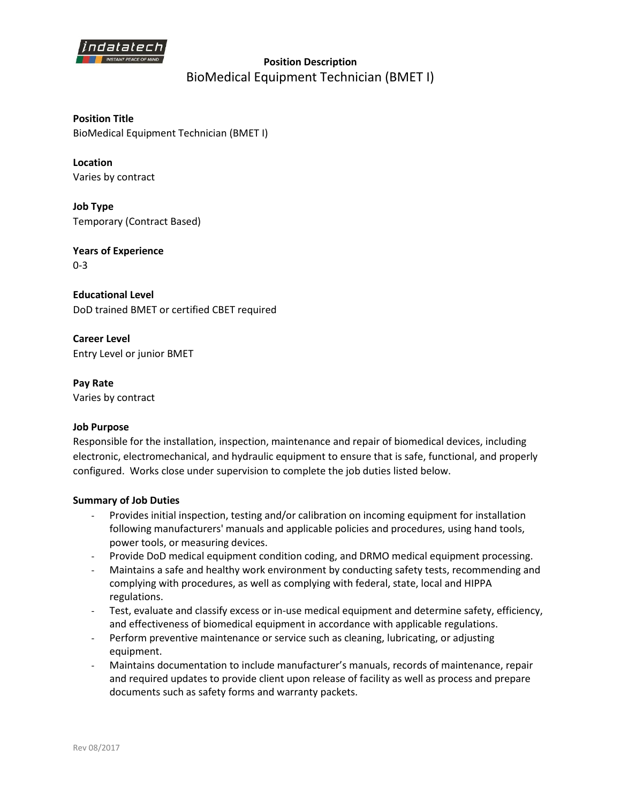

**Position Description**  BioMedical Equipment Technician (BMET I)

**Position Title** BioMedical Equipment Technician (BMET I)

**Location** Varies by contract

**Job Type** Temporary (Contract Based)

**Years of Experience** 0-3

**Educational Level** DoD trained BMET or certified CBET required

**Career Level** Entry Level or junior BMET

**Pay Rate** Varies by contract

## **Job Purpose**

Responsible for the installation, inspection, maintenance and repair of biomedical devices, including electronic, electromechanical, and hydraulic equipment to ensure that is safe, functional, and properly configured. Works close under supervision to complete the job duties listed below.

## **Summary of Job Duties**

- Provides initial inspection, testing and/or calibration on incoming equipment for installation following manufacturers' manuals and applicable policies and procedures, using hand tools, power tools, or measuring devices.
- Provide DoD medical equipment condition coding, and DRMO medical equipment processing.
- Maintains a safe and healthy work environment by conducting safety tests, recommending and complying with procedures, as well as complying with federal, state, local and HIPPA regulations.
- Test, evaluate and classify excess or in-use medical equipment and determine safety, efficiency, and effectiveness of biomedical equipment in accordance with applicable regulations.
- Perform preventive maintenance or service such as cleaning, lubricating, or adjusting equipment.
- Maintains documentation to include manufacturer's manuals, records of maintenance, repair and required updates to provide client upon release of facility as well as process and prepare documents such as safety forms and warranty packets.